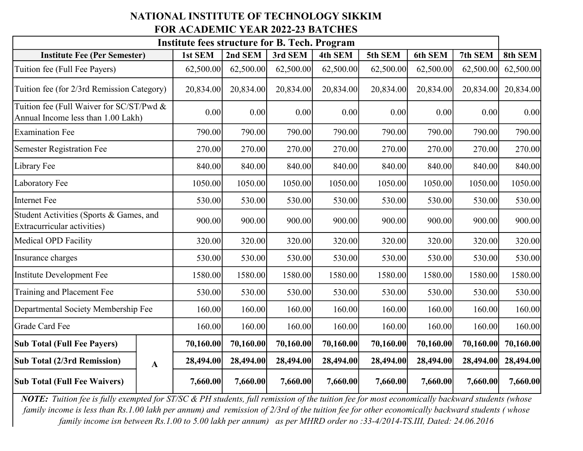## NATIONAL INSTITUTE OF TECHNOLOGY SIKKIM FOR ACADEMIC YEAR 2022-23 BATCHES

| <b>Institute fees structure for B. Tech. Program</b>                           |              |           |           |           |           |           |                |           |           |
|--------------------------------------------------------------------------------|--------------|-----------|-----------|-----------|-----------|-----------|----------------|-----------|-----------|
| <b>Institute Fee (Per Semester)</b>                                            |              | 1st SEM   | 2nd SEM   | 3rd SEM   | 4th SEM   | 5th SEM   | <b>6th SEM</b> | 7th SEM   | 8th SEM   |
| Tuition fee (Full Fee Payers)                                                  |              | 62,500.00 | 62,500.00 | 62,500.00 | 62,500.00 | 62,500.00 | 62,500.00      | 62,500.00 | 62,500.00 |
| Tuition fee (for 2/3rd Remission Category)                                     |              | 20,834.00 | 20,834.00 | 20,834.00 | 20,834.00 | 20,834.00 | 20,834.00      | 20,834.00 | 20,834.00 |
| Tuition fee (Full Waiver for SC/ST/Pwd &<br>Annual Income less than 1.00 Lakh) |              | 0.00      | 0.00      | 0.00      | 0.00      | 0.00      | 0.00           | 0.00      | 0.00      |
| <b>Examination Fee</b>                                                         |              | 790.00    | 790.00    | 790.00    | 790.00    | 790.00    | 790.00         | 790.00    | 790.00    |
| <b>Semester Registration Fee</b>                                               |              | 270.00    | 270.00    | 270.00    | 270.00    | 270.00    | 270.00         | 270.00    | 270.00    |
| Library Fee                                                                    |              | 840.00    | 840.00    | 840.00    | 840.00    | 840.00    | 840.00         | 840.00    | 840.00    |
| Laboratory Fee                                                                 |              | 1050.00   | 1050.00   | 1050.00   | 1050.00   | 1050.00   | 1050.00        | 1050.00   | 1050.00   |
| Internet Fee                                                                   |              | 530.00    | 530.00    | 530.00    | 530.00    | 530.00    | 530.00         | 530.00    | 530.00    |
| Student Activities (Sports & Games, and<br>Extracurricular activities)         |              | 900.00    | 900.00    | 900.00    | 900.00    | 900.00    | 900.00         | 900.00    | 900.00    |
| Medical OPD Facility                                                           |              | 320.00    | 320.00    | 320.00    | 320.00    | 320.00    | 320.00         | 320.00    | 320.00    |
| Insurance charges                                                              |              | 530.00    | 530.00    | 530.00    | 530.00    | 530.00    | 530.00         | 530.00    | 530.00    |
| Institute Development Fee                                                      |              | 1580.00   | 1580.00   | 1580.00   | 1580.00   | 1580.00   | 1580.00        | 1580.00   | 1580.00   |
| Training and Placement Fee                                                     |              | 530.00    | 530.00    | 530.00    | 530.00    | 530.00    | 530.00         | 530.00    | 530.00    |
| Departmental Society Membership Fee                                            |              | 160.00    | 160.00    | 160.00    | 160.00    | 160.00    | 160.00         | 160.00    | 160.00    |
| Grade Card Fee                                                                 |              | 160.00    | 160.00    | 160.00    | 160.00    | 160.00    | 160.00         | 160.00    | 160.00    |
| <b>Sub Total (Full Fee Payers)</b>                                             |              | 70,160.00 | 70,160.00 | 70,160.00 | 70,160.00 | 70,160.00 | 70,160.00      | 70,160.00 | 70,160.00 |
| <b>Sub Total (2/3rd Remission)</b>                                             | $\mathbf{A}$ | 28,494.00 | 28,494.00 | 28,494.00 | 28,494.00 | 28,494.00 | 28,494.00      | 28,494.00 | 28,494.00 |
| <b>Sub Total (Full Fee Waivers)</b>                                            |              | 7,660.00  | 7,660.00  | 7,660.00  | 7,660.00  | 7,660.00  | 7,660.00       | 7,660.00  | 7,660.00  |

NOTE: Tuition fee is fully exempted for ST/SC & PH students, full remission of the tuition fee for most economically backward students (whose family income is less than Rs.1.00 lakh per annum) and remission of 2/3rd of the tuition fee for other economically backward students ( whose family income isn between Rs.1.00 to 5.00 lakh per annum) as per MHRD order no :33-4/2014-TS.III, Dated: 24.06.2016